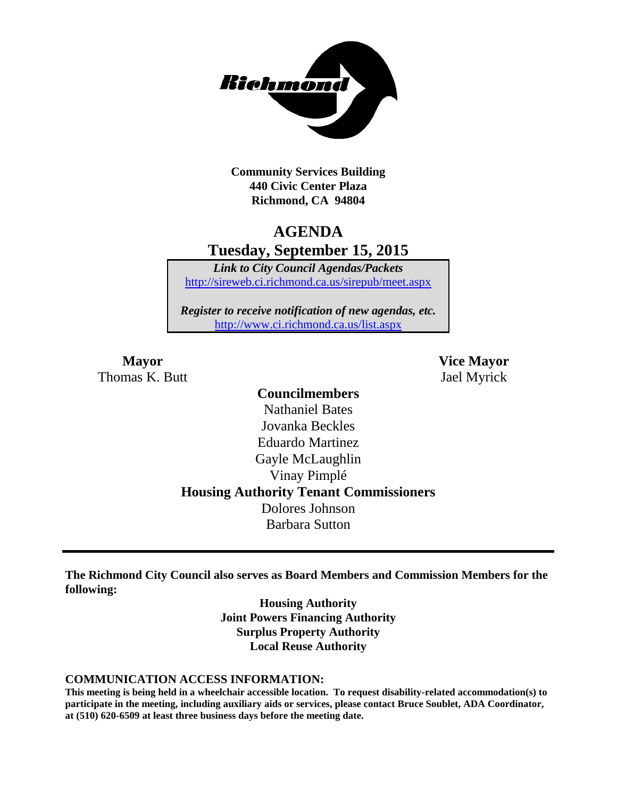

**Community Services Building 440 Civic Center Plaza Richmond, CA 94804**

## **AGENDA Tuesday, September 15, 2015**

*Link to City Council Agendas/Packets* <http://sireweb.ci.richmond.ca.us/sirepub/meet.aspx>

*Register to receive notification of new agendas, etc.* <http://www.ci.richmond.ca.us/list.aspx>

Thomas K. Butt Jael Myrick

**Mayor Vice Mayor**

### **Councilmembers** Nathaniel Bates Jovanka Beckles Eduardo Martinez Gayle McLaughlin Vinay Pimplé **Housing Authority Tenant Commissioners** Dolores Johnson Barbara Sutton

**The Richmond City Council also serves as Board Members and Commission Members for the following:**

> **Housing Authority Joint Powers Financing Authority Surplus Property Authority Local Reuse Authority**

#### **COMMUNICATION ACCESS INFORMATION:**

**This meeting is being held in a wheelchair accessible location. To request disability-related accommodation(s) to participate in the meeting, including auxiliary aids or services, please contact Bruce Soublet, ADA Coordinator, at (510) 620-6509 at least three business days before the meeting date.**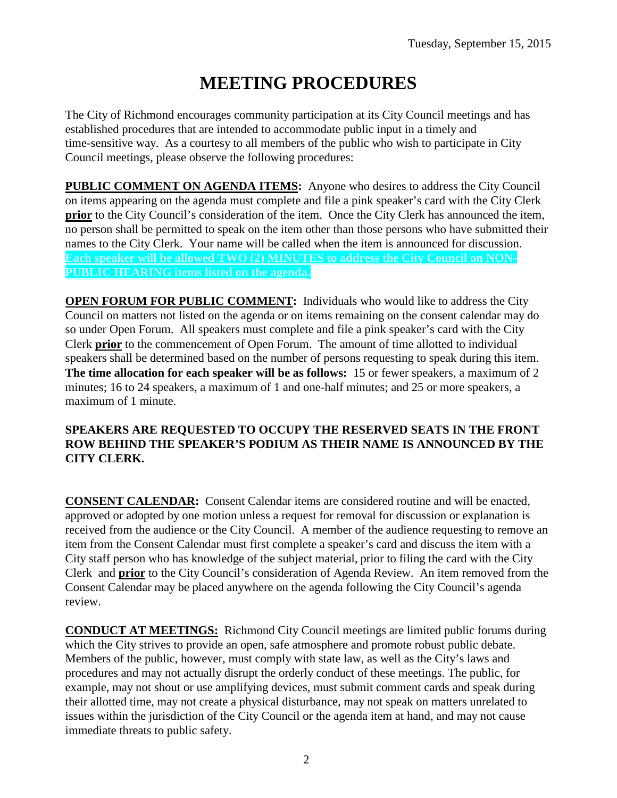# **MEETING PROCEDURES**

The City of Richmond encourages community participation at its City Council meetings and has established procedures that are intended to accommodate public input in a timely and time-sensitive way. As a courtesy to all members of the public who wish to participate in City Council meetings, please observe the following procedures:

**PUBLIC COMMENT ON AGENDA ITEMS:** Anyone who desires to address the City Council on items appearing on the agenda must complete and file a pink speaker's card with the City Clerk **prior** to the City Council's consideration of the item. Once the City Clerk has announced the item, no person shall be permitted to speak on the item other than those persons who have submitted their names to the City Clerk. Your name will be called when the item is announced for discussion. **Each speaker will be allowed TWO (2) MINUTES to address the City Council on NON-PUBLIC HEARING items listed on the agenda.**

**OPEN FORUM FOR PUBLIC COMMENT:** Individuals who would like to address the City Council on matters not listed on the agenda or on items remaining on the consent calendar may do so under Open Forum. All speakers must complete and file a pink speaker's card with the City Clerk **prior** to the commencement of Open Forum. The amount of time allotted to individual speakers shall be determined based on the number of persons requesting to speak during this item. **The time allocation for each speaker will be as follows:** 15 or fewer speakers, a maximum of 2 minutes; 16 to 24 speakers, a maximum of 1 and one-half minutes; and 25 or more speakers, a maximum of 1 minute.

#### **SPEAKERS ARE REQUESTED TO OCCUPY THE RESERVED SEATS IN THE FRONT ROW BEHIND THE SPEAKER'S PODIUM AS THEIR NAME IS ANNOUNCED BY THE CITY CLERK.**

**CONSENT CALENDAR:** Consent Calendar items are considered routine and will be enacted, approved or adopted by one motion unless a request for removal for discussion or explanation is received from the audience or the City Council. A member of the audience requesting to remove an item from the Consent Calendar must first complete a speaker's card and discuss the item with a City staff person who has knowledge of the subject material, prior to filing the card with the City Clerk and **prior** to the City Council's consideration of Agenda Review. An item removed from the Consent Calendar may be placed anywhere on the agenda following the City Council's agenda review.

**CONDUCT AT MEETINGS:** Richmond City Council meetings are limited public forums during which the City strives to provide an open, safe atmosphere and promote robust public debate. Members of the public, however, must comply with state law, as well as the City's laws and procedures and may not actually disrupt the orderly conduct of these meetings. The public, for example, may not shout or use amplifying devices, must submit comment cards and speak during their allotted time, may not create a physical disturbance, may not speak on matters unrelated to issues within the jurisdiction of the City Council or the agenda item at hand, and may not cause immediate threats to public safety.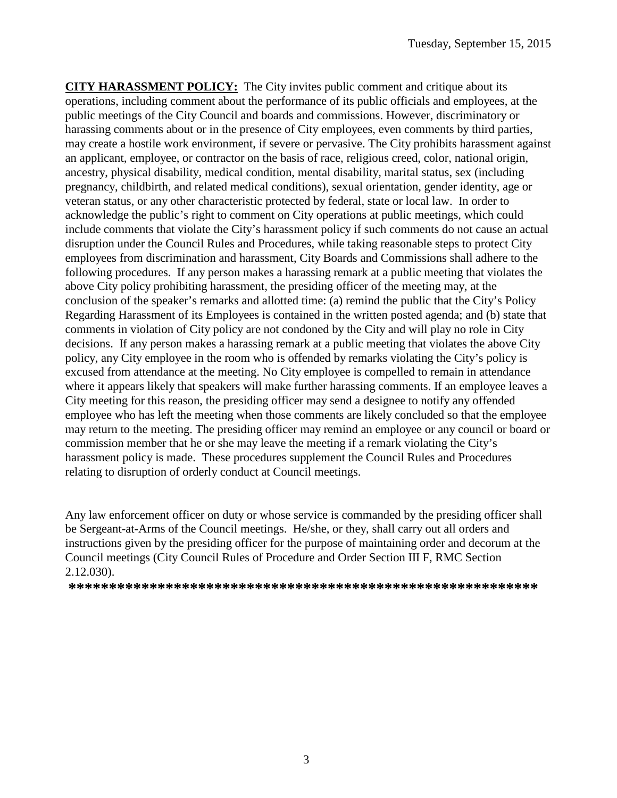**CITY HARASSMENT POLICY:** The City invites public comment and critique about its operations, including comment about the performance of its public officials and employees, at the public meetings of the City Council and boards and commissions. However, discriminatory or harassing comments about or in the presence of City employees, even comments by third parties, may create a hostile work environment, if severe or pervasive. The City prohibits harassment against an applicant, employee, or contractor on the basis of race, religious creed, color, national origin, ancestry, physical disability, medical condition, mental disability, marital status, sex (including pregnancy, childbirth, and related medical conditions), sexual orientation, gender identity, age or veteran status, or any other characteristic protected by federal, state or local law. In order to acknowledge the public's right to comment on City operations at public meetings, which could include comments that violate the City's harassment policy if such comments do not cause an actual disruption under the Council Rules and Procedures, while taking reasonable steps to protect City employees from discrimination and harassment, City Boards and Commissions shall adhere to the following procedures. If any person makes a harassing remark at a public meeting that violates the above City policy prohibiting harassment, the presiding officer of the meeting may, at the conclusion of the speaker's remarks and allotted time: (a) remind the public that the City's Policy Regarding Harassment of its Employees is contained in the written posted agenda; and (b) state that comments in violation of City policy are not condoned by the City and will play no role in City decisions. If any person makes a harassing remark at a public meeting that violates the above City policy, any City employee in the room who is offended by remarks violating the City's policy is excused from attendance at the meeting. No City employee is compelled to remain in attendance where it appears likely that speakers will make further harassing comments. If an employee leaves a City meeting for this reason, the presiding officer may send a designee to notify any offended employee who has left the meeting when those comments are likely concluded so that the employee may return to the meeting. The presiding officer may remind an employee or any council or board or commission member that he or she may leave the meeting if a remark violating the City's harassment policy is made. These procedures supplement the Council Rules and Procedures relating to disruption of orderly conduct at Council meetings.

Any law enforcement officer on duty or whose service is commanded by the presiding officer shall be Sergeant-at-Arms of the Council meetings. He/she, or they, shall carry out all orders and instructions given by the presiding officer for the purpose of maintaining order and decorum at the Council meetings (City Council Rules of Procedure and Order Section III F, RMC Section 2.12.030).

**\*\*\*\*\*\*\*\*\*\*\*\*\*\*\*\*\*\*\*\*\*\*\*\*\*\*\*\*\*\*\*\*\*\*\*\*\*\*\*\*\*\*\*\*\*\*\*\*\*\*\*\*\*\*\*\*\*\***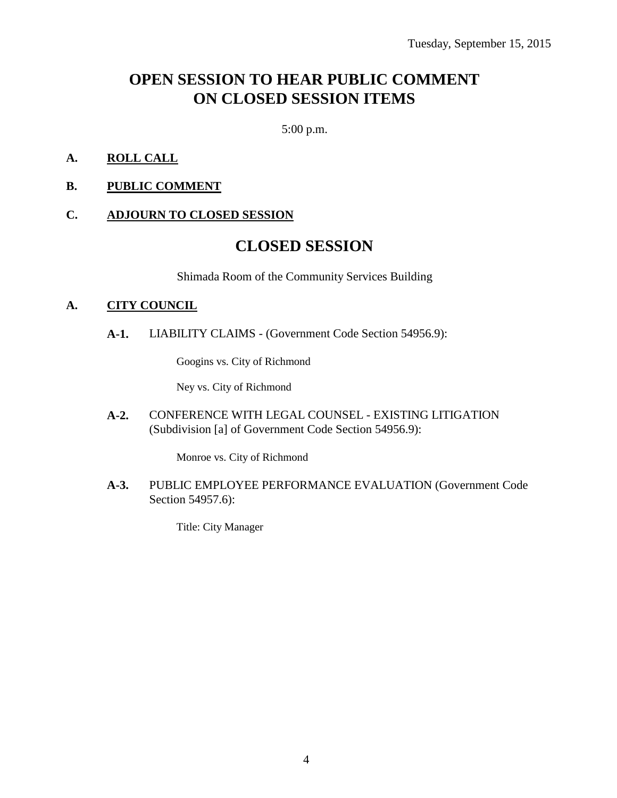## **OPEN SESSION TO HEAR PUBLIC COMMENT ON CLOSED SESSION ITEMS**

5:00 p.m.

- **A. ROLL CALL**
- **B. PUBLIC COMMENT**

#### **C. ADJOURN TO CLOSED SESSION**

### **CLOSED SESSION**

Shimada Room of the Community Services Building

#### **A. CITY COUNCIL**

**A-1.** LIABILITY CLAIMS - (Government Code Section 54956.9):

Googins vs. City of Richmond

Ney vs. City of Richmond

**A-2.** CONFERENCE WITH LEGAL COUNSEL - EXISTING LITIGATION (Subdivision [a] of Government Code Section 54956.9):

Monroe vs. City of Richmond

**A-3.** PUBLIC EMPLOYEE PERFORMANCE EVALUATION (Government Code Section 54957.6):

Title: City Manager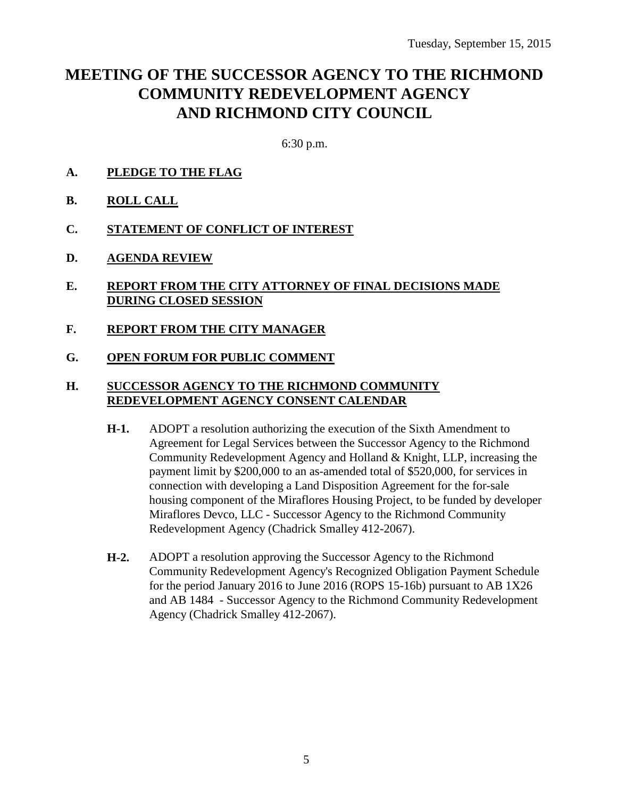## **MEETING OF THE SUCCESSOR AGENCY TO THE RICHMOND COMMUNITY REDEVELOPMENT AGENCY AND RICHMOND CITY COUNCIL**

6:30 p.m.

- **A. PLEDGE TO THE FLAG**
- **B. ROLL CALL**
- **C. STATEMENT OF CONFLICT OF INTEREST**
- **D. AGENDA REVIEW**
- **E. REPORT FROM THE CITY ATTORNEY OF FINAL DECISIONS MADE DURING CLOSED SESSION**
- **F. REPORT FROM THE CITY MANAGER**
- **G. OPEN FORUM FOR PUBLIC COMMENT**

#### **H. SUCCESSOR AGENCY TO THE RICHMOND COMMUNITY REDEVELOPMENT AGENCY CONSENT CALENDAR**

- **H-1.** ADOPT a resolution authorizing the execution of the Sixth Amendment to Agreement for Legal Services between the Successor Agency to the Richmond Community Redevelopment Agency and Holland & Knight, LLP, increasing the payment limit by \$200,000 to an as-amended total of \$520,000, for services in connection with developing a Land Disposition Agreement for the for-sale housing component of the Miraflores Housing Project, to be funded by developer Miraflores Devco, LLC - Successor Agency to the Richmond Community Redevelopment Agency (Chadrick Smalley 412-2067).
- **H-2.** ADOPT a resolution approving the Successor Agency to the Richmond Community Redevelopment Agency's Recognized Obligation Payment Schedule for the period January 2016 to June 2016 (ROPS 15-16b) pursuant to AB 1X26 and AB 1484 - Successor Agency to the Richmond Community Redevelopment Agency (Chadrick Smalley 412-2067).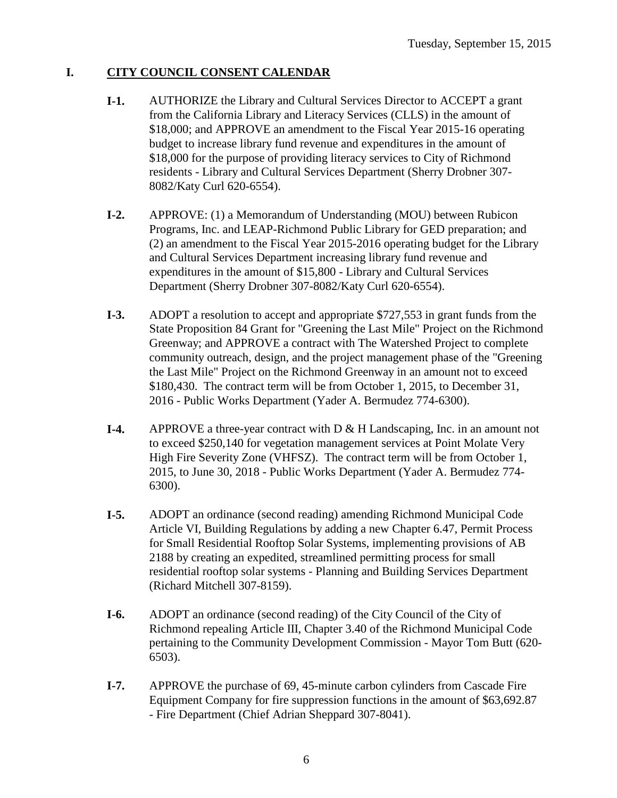### **I. CITY COUNCIL CONSENT CALENDAR**

- **I-1.** AUTHORIZE the Library and Cultural Services Director to ACCEPT a grant from the California Library and Literacy Services (CLLS) in the amount of \$18,000; and APPROVE an amendment to the Fiscal Year 2015-16 operating budget to increase library fund revenue and expenditures in the amount of \$18,000 for the purpose of providing literacy services to City of Richmond residents - Library and Cultural Services Department (Sherry Drobner 307- 8082/Katy Curl 620-6554).
- **I-2.** APPROVE: (1) a Memorandum of Understanding (MOU) between Rubicon Programs, Inc. and LEAP-Richmond Public Library for GED preparation; and (2) an amendment to the Fiscal Year 2015-2016 operating budget for the Library and Cultural Services Department increasing library fund revenue and expenditures in the amount of \$15,800 - Library and Cultural Services Department (Sherry Drobner 307-8082/Katy Curl 620-6554).
- **I-3.** ADOPT a resolution to accept and appropriate \$727,553 in grant funds from the State Proposition 84 Grant for "Greening the Last Mile" Project on the Richmond Greenway; and APPROVE a contract with The Watershed Project to complete community outreach, design, and the project management phase of the "Greening the Last Mile" Project on the Richmond Greenway in an amount not to exceed \$180,430. The contract term will be from October 1, 2015, to December 31, 2016 - Public Works Department (Yader A. Bermudez 774-6300).
- **I-4.** APPROVE a three-year contract with D & H Landscaping, Inc. in an amount not to exceed \$250,140 for vegetation management services at Point Molate Very High Fire Severity Zone (VHFSZ). The contract term will be from October 1, 2015, to June 30, 2018 - Public Works Department (Yader A. Bermudez 774- 6300).
- **I-5.** ADOPT an ordinance (second reading) amending Richmond Municipal Code Article VI, Building Regulations by adding a new Chapter 6.47, Permit Process for Small Residential Rooftop Solar Systems, implementing provisions of AB 2188 by creating an expedited, streamlined permitting process for small residential rooftop solar systems - Planning and Building Services Department (Richard Mitchell 307-8159).
- **I-6.** ADOPT an ordinance (second reading) of the City Council of the City of Richmond repealing Article III, Chapter 3.40 of the Richmond Municipal Code pertaining to the Community Development Commission - Mayor Tom Butt (620- 6503).
- **I-7.** APPROVE the purchase of 69, 45-minute carbon cylinders from Cascade Fire Equipment Company for fire suppression functions in the amount of \$63,692.87 - Fire Department (Chief Adrian Sheppard 307-8041).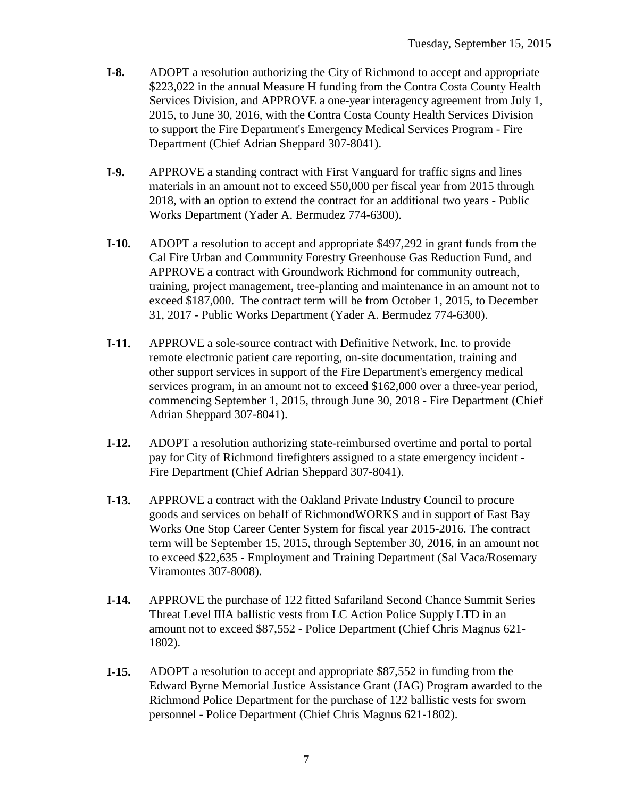- **I-8.** ADOPT a resolution authorizing the City of Richmond to accept and appropriate \$223,022 in the annual Measure H funding from the Contra Costa County Health Services Division, and APPROVE a one-year interagency agreement from July 1, 2015, to June 30, 2016, with the Contra Costa County Health Services Division to support the Fire Department's Emergency Medical Services Program - Fire Department (Chief Adrian Sheppard 307-8041).
- **I-9.** APPROVE a standing contract with First Vanguard for traffic signs and lines materials in an amount not to exceed \$50,000 per fiscal year from 2015 through 2018, with an option to extend the contract for an additional two years - Public Works Department (Yader A. Bermudez 774-6300).
- **I-10.** ADOPT a resolution to accept and appropriate \$497,292 in grant funds from the Cal Fire Urban and Community Forestry Greenhouse Gas Reduction Fund, and APPROVE a contract with Groundwork Richmond for community outreach, training, project management, tree-planting and maintenance in an amount not to exceed \$187,000. The contract term will be from October 1, 2015, to December 31, 2017 - Public Works Department (Yader A. Bermudez 774-6300).
- **I-11.** APPROVE a sole-source contract with Definitive Network, Inc. to provide remote electronic patient care reporting, on-site documentation, training and other support services in support of the Fire Department's emergency medical services program, in an amount not to exceed \$162,000 over a three-year period, commencing September 1, 2015, through June 30, 2018 - Fire Department (Chief Adrian Sheppard 307-8041).
- **I-12.** ADOPT a resolution authorizing state-reimbursed overtime and portal to portal pay for City of Richmond firefighters assigned to a state emergency incident - Fire Department (Chief Adrian Sheppard 307-8041).
- **I-13.** APPROVE a contract with the Oakland Private Industry Council to procure goods and services on behalf of RichmondWORKS and in support of East Bay Works One Stop Career Center System for fiscal year 2015-2016. The contract term will be September 15, 2015, through September 30, 2016, in an amount not to exceed \$22,635 - Employment and Training Department (Sal Vaca/Rosemary Viramontes 307-8008).
- **I-14.** APPROVE the purchase of 122 fitted Safariland Second Chance Summit Series Threat Level IIIA ballistic vests from LC Action Police Supply LTD in an amount not to exceed \$87,552 - Police Department (Chief Chris Magnus 621- 1802).
- **I-15.** ADOPT a resolution to accept and appropriate \$87,552 in funding from the Edward Byrne Memorial Justice Assistance Grant (JAG) Program awarded to the Richmond Police Department for the purchase of 122 ballistic vests for sworn personnel - Police Department (Chief Chris Magnus 621-1802).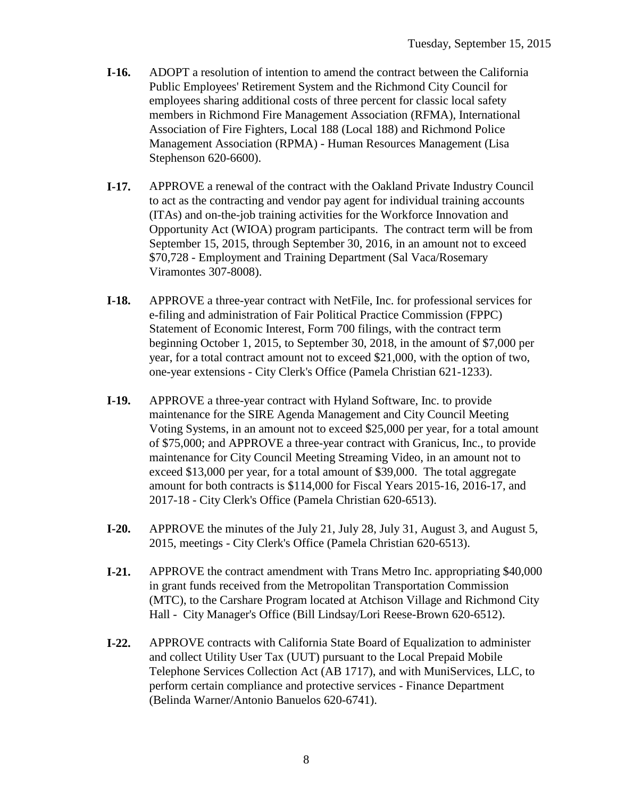- **I-16.** ADOPT a resolution of intention to amend the contract between the California Public Employees' Retirement System and the Richmond City Council for employees sharing additional costs of three percent for classic local safety members in Richmond Fire Management Association (RFMA), International Association of Fire Fighters, Local 188 (Local 188) and Richmond Police Management Association (RPMA) - Human Resources Management (Lisa Stephenson 620-6600).
- **I-17.** APPROVE a renewal of the contract with the Oakland Private Industry Council to act as the contracting and vendor pay agent for individual training accounts (ITAs) and on-the-job training activities for the Workforce Innovation and Opportunity Act (WIOA) program participants. The contract term will be from September 15, 2015, through September 30, 2016, in an amount not to exceed \$70,728 - Employment and Training Department (Sal Vaca/Rosemary Viramontes 307-8008).
- **I-18.** APPROVE a three-year contract with NetFile, Inc. for professional services for e-filing and administration of Fair Political Practice Commission (FPPC) Statement of Economic Interest, Form 700 filings, with the contract term beginning October 1, 2015, to September 30, 2018, in the amount of \$7,000 per year, for a total contract amount not to exceed \$21,000, with the option of two, one-year extensions - City Clerk's Office (Pamela Christian 621-1233).
- **I-19.** APPROVE a three-year contract with Hyland Software, Inc. to provide maintenance for the SIRE Agenda Management and City Council Meeting Voting Systems, in an amount not to exceed \$25,000 per year, for a total amount of \$75,000; and APPROVE a three-year contract with Granicus, Inc., to provide maintenance for City Council Meeting Streaming Video, in an amount not to exceed \$13,000 per year, for a total amount of \$39,000. The total aggregate amount for both contracts is \$114,000 for Fiscal Years 2015-16, 2016-17, and 2017-18 - City Clerk's Office (Pamela Christian 620-6513).
- **I-20.** APPROVE the minutes of the July 21, July 28, July 31, August 3, and August 5, 2015, meetings - City Clerk's Office (Pamela Christian 620-6513).
- **I-21.** APPROVE the contract amendment with Trans Metro Inc. appropriating \$40,000 in grant funds received from the Metropolitan Transportation Commission (MTC), to the Carshare Program located at Atchison Village and Richmond City Hall - City Manager's Office (Bill Lindsay/Lori Reese-Brown 620-6512).
- **I-22.** APPROVE contracts with California State Board of Equalization to administer and collect Utility User Tax (UUT) pursuant to the Local Prepaid Mobile Telephone Services Collection Act (AB 1717), and with MuniServices, LLC, to perform certain compliance and protective services - Finance Department (Belinda Warner/Antonio Banuelos 620-6741).